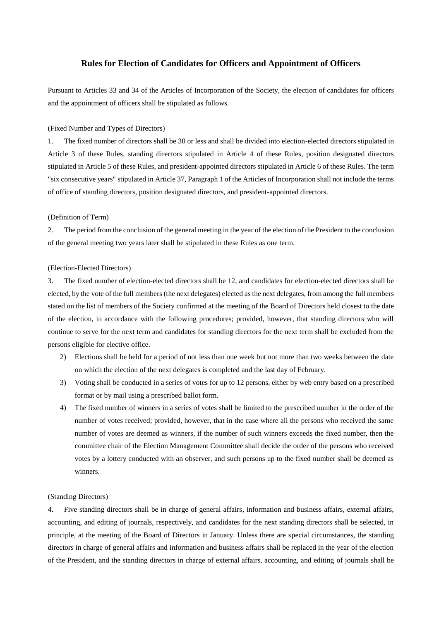# **Rules for Election of Candidates for Officers and Appointment of Officers**

Pursuant to Articles 33 and 34 of the Articles of Incorporation of the Society, the election of candidates for officers and the appointment of officers shall be stipulated as follows.

(Fixed Number and Types of Directors)

1. The fixed number of directors shall be 30 or less and shall be divided into election-elected directors stipulated in Article 3 of these Rules, standing directors stipulated in Article 4 of these Rules, position designated directors stipulated in Article 5 of these Rules, and president-appointed directors stipulated in Article 6 of these Rules. The term "six consecutive years" stipulated in Article 37, Paragraph 1 of the Articles of Incorporation shall not include the terms of office of standing directors, position designated directors, and president-appointed directors.

### (Definition of Term)

2. The period from the conclusion of the general meeting in the year of the election of the President to the conclusion of the general meeting two years later shall be stipulated in these Rules as one term.

#### (Election-Elected Directors)

3. The fixed number of election-elected directors shall be 12, and candidates for election-elected directors shall be elected, by the vote of the full members (the next delegates) elected as the next delegates, from among the full members stated on the list of members of the Society confirmed at the meeting of the Board of Directors held closest to the date of the election, in accordance with the following procedures; provided, however, that standing directors who will continue to serve for the next term and candidates for standing directors for the next term shall be excluded from the persons eligible for elective office.

- 2) Elections shall be held for a period of not less than one week but not more than two weeks between the date on which the election of the next delegates is completed and the last day of February.
- 3) Voting shall be conducted in a series of votes for up to 12 persons, either by web entry based on a prescribed format or by mail using a prescribed ballot form.
- 4) The fixed number of winners in a series of votes shall be limited to the prescribed number in the order of the number of votes received; provided, however, that in the case where all the persons who received the same number of votes are deemed as winners, if the number of such winners exceeds the fixed number, then the committee chair of the Election Management Committee shall decide the order of the persons who received votes by a lottery conducted with an observer, and such persons up to the fixed number shall be deemed as winners.

### (Standing Directors)

4. Five standing directors shall be in charge of general affairs, information and business affairs, external affairs, accounting, and editing of journals, respectively, and candidates for the next standing directors shall be selected, in principle, at the meeting of the Board of Directors in January. Unless there are special circumstances, the standing directors in charge of general affairs and information and business affairs shall be replaced in the year of the election of the President, and the standing directors in charge of external affairs, accounting, and editing of journals shall be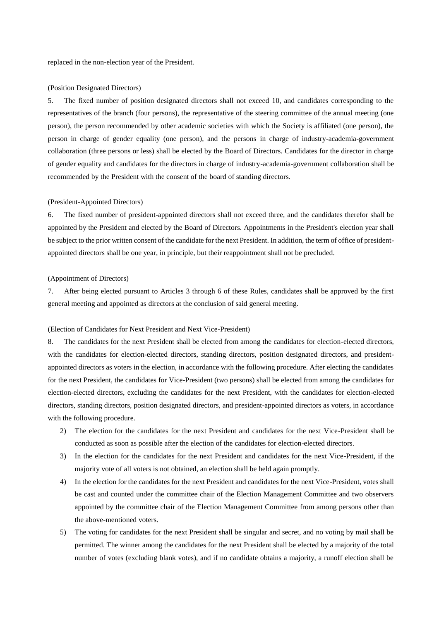replaced in the non-election year of the President.

#### (Position Designated Directors)

5. The fixed number of position designated directors shall not exceed 10, and candidates corresponding to the representatives of the branch (four persons), the representative of the steering committee of the annual meeting (one person), the person recommended by other academic societies with which the Society is affiliated (one person), the person in charge of gender equality (one person), and the persons in charge of industry-academia-government collaboration (three persons or less) shall be elected by the Board of Directors. Candidates for the director in charge of gender equality and candidates for the directors in charge of industry-academia-government collaboration shall be recommended by the President with the consent of the board of standing directors.

#### (President-Appointed Directors)

6. The fixed number of president-appointed directors shall not exceed three, and the candidates therefor shall be appointed by the President and elected by the Board of Directors. Appointments in the President's election year shall be subject to the prior written consent of the candidate for the next President. In addition, the term of office of presidentappointed directors shall be one year, in principle, but their reappointment shall not be precluded.

#### (Appointment of Directors)

7. After being elected pursuant to Articles 3 through 6 of these Rules, candidates shall be approved by the first general meeting and appointed as directors at the conclusion of said general meeting.

## (Election of Candidates for Next President and Next Vice-President)

8. The candidates for the next President shall be elected from among the candidates for election-elected directors, with the candidates for election-elected directors, standing directors, position designated directors, and presidentappointed directors as voters in the election, in accordance with the following procedure. After electing the candidates for the next President, the candidates for Vice-President (two persons) shall be elected from among the candidates for election-elected directors, excluding the candidates for the next President, with the candidates for election-elected directors, standing directors, position designated directors, and president-appointed directors as voters, in accordance with the following procedure.

- 2) The election for the candidates for the next President and candidates for the next Vice-President shall be conducted as soon as possible after the election of the candidates for election-elected directors.
- 3) In the election for the candidates for the next President and candidates for the next Vice-President, if the majority vote of all voters is not obtained, an election shall be held again promptly.
- 4) In the election for the candidates for the next President and candidates for the next Vice-President, votes shall be cast and counted under the committee chair of the Election Management Committee and two observers appointed by the committee chair of the Election Management Committee from among persons other than the above-mentioned voters.
- 5) The voting for candidates for the next President shall be singular and secret, and no voting by mail shall be permitted. The winner among the candidates for the next President shall be elected by a majority of the total number of votes (excluding blank votes), and if no candidate obtains a majority, a runoff election shall be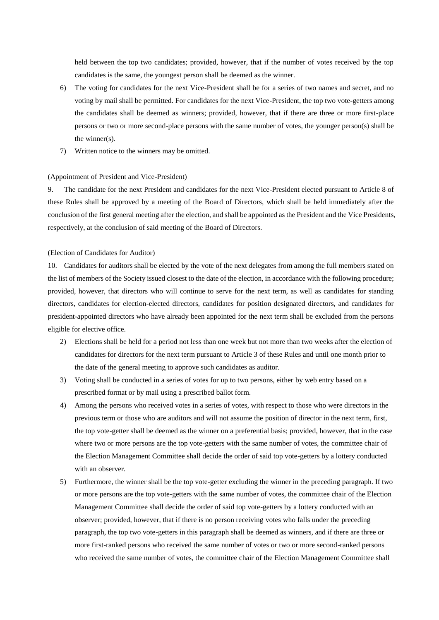held between the top two candidates; provided, however, that if the number of votes received by the top candidates is the same, the youngest person shall be deemed as the winner.

- 6) The voting for candidates for the next Vice-President shall be for a series of two names and secret, and no voting by mail shall be permitted. For candidates for the next Vice-President, the top two vote-getters among the candidates shall be deemed as winners; provided, however, that if there are three or more first-place persons or two or more second-place persons with the same number of votes, the younger person(s) shall be the winner(s).
- 7) Written notice to the winners may be omitted.

#### (Appointment of President and Vice-President)

9. The candidate for the next President and candidates for the next Vice-President elected pursuant to Article 8 of these Rules shall be approved by a meeting of the Board of Directors, which shall be held immediately after the conclusion of the first general meeting after the election, and shall be appointed as the President and the Vice Presidents, respectively, at the conclusion of said meeting of the Board of Directors.

## (Election of Candidates for Auditor)

10. Candidates for auditors shall be elected by the vote of the next delegates from among the full members stated on the list of members of the Society issued closest to the date of the election, in accordance with the following procedure; provided, however, that directors who will continue to serve for the next term, as well as candidates for standing directors, candidates for election-elected directors, candidates for position designated directors, and candidates for president-appointed directors who have already been appointed for the next term shall be excluded from the persons eligible for elective office.

- 2) Elections shall be held for a period not less than one week but not more than two weeks after the election of candidates for directors for the next term pursuant to Article 3 of these Rules and until one month prior to the date of the general meeting to approve such candidates as auditor.
- 3) Voting shall be conducted in a series of votes for up to two persons, either by web entry based on a prescribed format or by mail using a prescribed ballot form.
- 4) Among the persons who received votes in a series of votes, with respect to those who were directors in the previous term or those who are auditors and will not assume the position of director in the next term, first, the top vote-getter shall be deemed as the winner on a preferential basis; provided, however, that in the case where two or more persons are the top vote-getters with the same number of votes, the committee chair of the Election Management Committee shall decide the order of said top vote-getters by a lottery conducted with an observer.
- 5) Furthermore, the winner shall be the top vote-getter excluding the winner in the preceding paragraph. If two or more persons are the top vote-getters with the same number of votes, the committee chair of the Election Management Committee shall decide the order of said top vote-getters by a lottery conducted with an observer; provided, however, that if there is no person receiving votes who falls under the preceding paragraph, the top two vote-getters in this paragraph shall be deemed as winners, and if there are three or more first-ranked persons who received the same number of votes or two or more second-ranked persons who received the same number of votes, the committee chair of the Election Management Committee shall